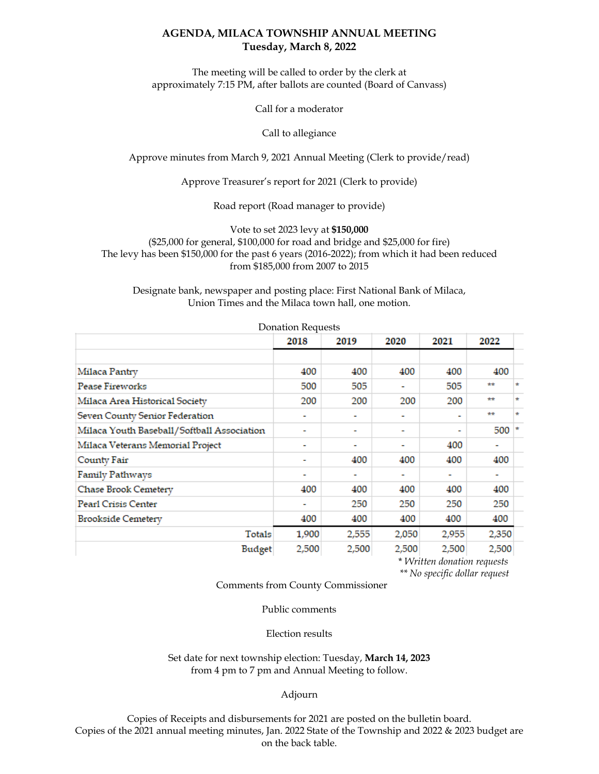## **AGENDA, MILACA TOWNSHIP ANNUAL MEETING Tuesday, March 8, 2022**

The meeting will be called to order by the clerk at approximately 7:15 PM, after ballots are counted (Board of Canvass)

Call for a moderator

Call to allegiance

Approve minutes from March 9, 2021 Annual Meeting (Clerk to provide/read)

Approve Treasurer's report for 2021 (Clerk to provide)

Road report (Road manager to provide)

Vote to set 2023 levy at **\$150,000** (\$25,000 for general, \$100,000 for road and bridge and \$25,000 for fire) The levy has been \$150,000 for the past 6 years (2016-2022); from which it had been reduced from \$185,000 from 2007 to 2015

Designate bank, newspaper and posting place: First National Bank of Milaca, Union Times and the Milaca town hall, one motion.

| <b>Donation Requests</b>                   |       |       |       |       |       |         |  |  |
|--------------------------------------------|-------|-------|-------|-------|-------|---------|--|--|
|                                            | 2018  | 2019  | 2020  | 2021  | 2022  |         |  |  |
|                                            |       |       |       |       |       |         |  |  |
| Milaca Pantry                              | 400   | 400   | 400   | 400   | 400   |         |  |  |
| <b>Pease Fireworks</b>                     | 500   | 505   |       | 505   | **    | $\star$ |  |  |
| Milaca Area Historical Society             | 200   | 200   | 200   | 200   | **    | $\star$ |  |  |
| Seven County Senior Federation             | ٠     |       |       | ٠     | **    | $\star$ |  |  |
| Milaca Youth Baseball/Softball Association | ۰     | ۰     | ٠     | ÷     | 500   |         |  |  |
| Milaca Veterans Memorial Project           | ٠     |       |       | 400   | ۰     |         |  |  |
| County Fair                                | ٠     | 400   | 400   | 400   | 400   |         |  |  |
| <b>Family Pathways</b>                     | ٠     |       |       |       | ۰     |         |  |  |
| Chase Brook Cemetery                       | 400   | 400   | 400   | 400   | 400   |         |  |  |
| Pearl Crisis Center                        | ۰     | 250   | 250   | 250   | 250   |         |  |  |
| <b>Brookside Cemetery</b>                  | 400   | 400   | 400   | 400   | 400   |         |  |  |
| Totals                                     | 1,900 | 2,555 | 2,050 | 2,955 | 2,350 |         |  |  |
| Budget                                     | 2,500 | 2,500 | 2,500 | 2,500 | 2,500 |         |  |  |

 \* *Written donation requests \*\* No specific dollar request* 

Comments from County Commissioner

Public comments

Election results

Set date for next township election: Tuesday, **March 14, 2023** from 4 pm to 7 pm and Annual Meeting to follow.

Adjourn

Copies of Receipts and disbursements for 2021 are posted on the bulletin board. Copies of the 2021 annual meeting minutes, Jan. 2022 State of the Township and 2022 & 2023 budget are on the back table.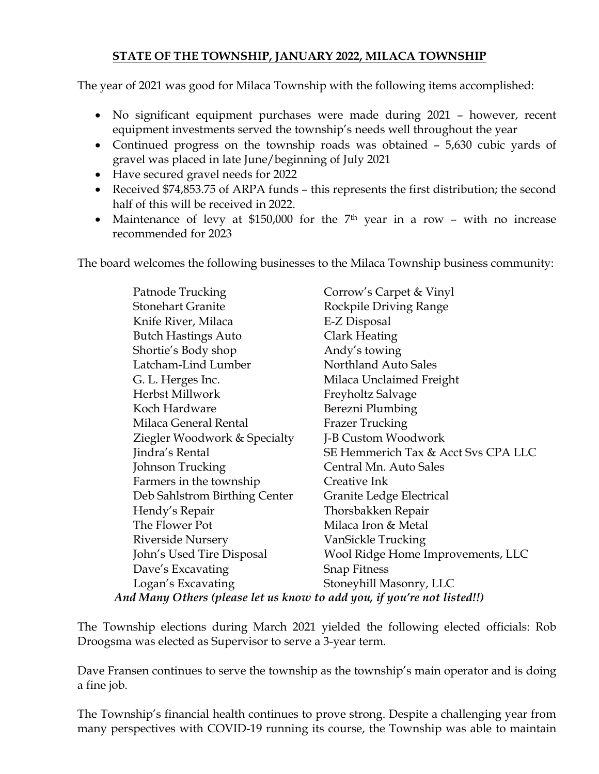## **STATE OF THE TOWNSHIP, JANUARY 2022, MILACA TOWNSHIP**

The year of 2021 was good for Milaca Township with the following items accomplished:

- No significant equipment purchases were made during 2021 however, recent equipment investments served the township's needs well throughout the year
- Continued progress on the township roads was obtained 5,630 cubic yards of gravel was placed in late June/beginning of July 2021
- Have secured gravel needs for 2022
- Received \$74,853.75 of ARPA funds this represents the first distribution; the second half of this will be received in 2022.
- Maintenance of levy at \$150,000 for the  $7<sup>th</sup>$  year in a row with no increase recommended for 2023

The board welcomes the following businesses to the Milaca Township business community:

|                                                                         | Patnode Trucking              | Corrow's Carpet & Vinyl             |  |  |  |
|-------------------------------------------------------------------------|-------------------------------|-------------------------------------|--|--|--|
|                                                                         | <b>Stonehart Granite</b>      | Rockpile Driving Range              |  |  |  |
|                                                                         | Knife River, Milaca           | E-Z Disposal                        |  |  |  |
|                                                                         | <b>Butch Hastings Auto</b>    | Clark Heating                       |  |  |  |
|                                                                         | Shortie's Body shop           | Andy's towing                       |  |  |  |
|                                                                         | Latcham-Lind Lumber           | Northland Auto Sales                |  |  |  |
|                                                                         | G. L. Herges Inc.             | Milaca Unclaimed Freight            |  |  |  |
|                                                                         | Herbst Millwork               | Freyholtz Salvage                   |  |  |  |
|                                                                         | Koch Hardware                 | Berezni Plumbing                    |  |  |  |
|                                                                         | Milaca General Rental         | <b>Frazer Trucking</b>              |  |  |  |
|                                                                         | Ziegler Woodwork & Specialty  | J-B Custom Woodwork                 |  |  |  |
|                                                                         | Jindra's Rental               | SE Hemmerich Tax & Acct Svs CPA LLC |  |  |  |
|                                                                         | Johnson Trucking              | Central Mn. Auto Sales              |  |  |  |
|                                                                         | Farmers in the township       | Creative Ink                        |  |  |  |
|                                                                         | Deb Sahlstrom Birthing Center | Granite Ledge Electrical            |  |  |  |
|                                                                         | Hendy's Repair                | Thorsbakken Repair                  |  |  |  |
|                                                                         | The Flower Pot                | Milaca Iron & Metal                 |  |  |  |
|                                                                         | <b>Riverside Nursery</b>      | VanSickle Trucking                  |  |  |  |
|                                                                         | John's Used Tire Disposal     | Wool Ridge Home Improvements, LLC   |  |  |  |
|                                                                         | Dave's Excavating             | <b>Snap Fitness</b>                 |  |  |  |
|                                                                         | Logan's Excavating            | Stoneyhill Masonry, LLC             |  |  |  |
| And Many Others (please let us know to add you, if you're not listed!!) |                               |                                     |  |  |  |

 The Township elections during March 2021 yielded the following elected officials: Rob Droogsma was elected as Supervisor to serve a 3-year term.

Dave Fransen continues to serve the township as the township's main operator and is doing a fine job.

 The Township's financial health continues to prove strong. Despite a challenging year from many perspectives with COVID-19 running its course, the Township was able to maintain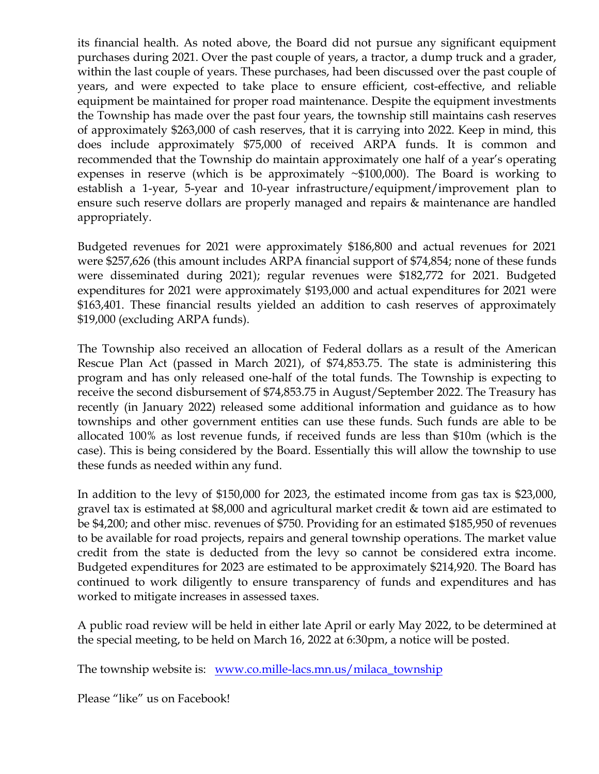its financial health. As noted above, the Board did not pursue any significant equipment purchases during 2021. Over the past couple of years, a tractor, a dump truck and a grader, within the last couple of years. These purchases, had been discussed over the past couple of years, and were expected to take place to ensure efficient, cost-effective, and reliable equipment be maintained for proper road maintenance. Despite the equipment investments the Township has made over the past four years, the township still maintains cash reserves of approximately \$263,000 of cash reserves, that it is carrying into 2022. Keep in mind, this does include approximately \$75,000 of received ARPA funds. It is common and recommended that the Township do maintain approximately one half of a year's operating expenses in reserve (which is be approximately  $\sim$ \$100,000). The Board is working to establish a 1-year, 5-year and 10-year infrastructure/equipment/improvement plan to ensure such reserve dollars are properly managed and repairs & maintenance are handled appropriately.

 Budgeted revenues for 2021 were approximately \$186,800 and actual revenues for 2021 were \$257,626 (this amount includes ARPA financial support of \$74,854; none of these funds were disseminated during 2021); regular revenues were \$182,772 for 2021. Budgeted expenditures for 2021 were approximately \$193,000 and actual expenditures for 2021 were \$163,401. These financial results yielded an addition to cash reserves of approximately \$19,000 (excluding ARPA funds).

 The Township also received an allocation of Federal dollars as a result of the American Rescue Plan Act (passed in March 2021), of \$74,853.75. The state is administering this program and has only released one-half of the total funds. The Township is expecting to receive the second disbursement of \$74,853.75 in August/September 2022. The Treasury has recently (in January 2022) released some additional information and guidance as to how townships and other government entities can use these funds. Such funds are able to be allocated 100% as lost revenue funds, if received funds are less than \$10m (which is the case). This is being considered by the Board. Essentially this will allow the township to use these funds as needed within any fund.

In addition to the levy of \$150,000 for 2023, the estimated income from gas tax is \$23,000, gravel tax is estimated at \$8,000 and agricultural market credit & town aid are estimated to be \$4,200; and other misc. revenues of \$750. Providing for an estimated \$185,950 of revenues to be available for road projects, repairs and general township operations. The market value credit from the state is deducted from the levy so cannot be considered extra income. Budgeted expenditures for 2023 are estimated to be approximately \$214,920. The Board has continued to work diligently to ensure transparency of funds and expenditures and has worked to mitigate increases in assessed taxes.

A public road review will be held in either late April or early May 2022, to be determined at the special meeting, to be held on March 16, 2022 at 6:30pm, a notice will be posted.

The township website is: www.co.mille-lacs.mn.us/milaca\_township

Please "like" us on Facebook!